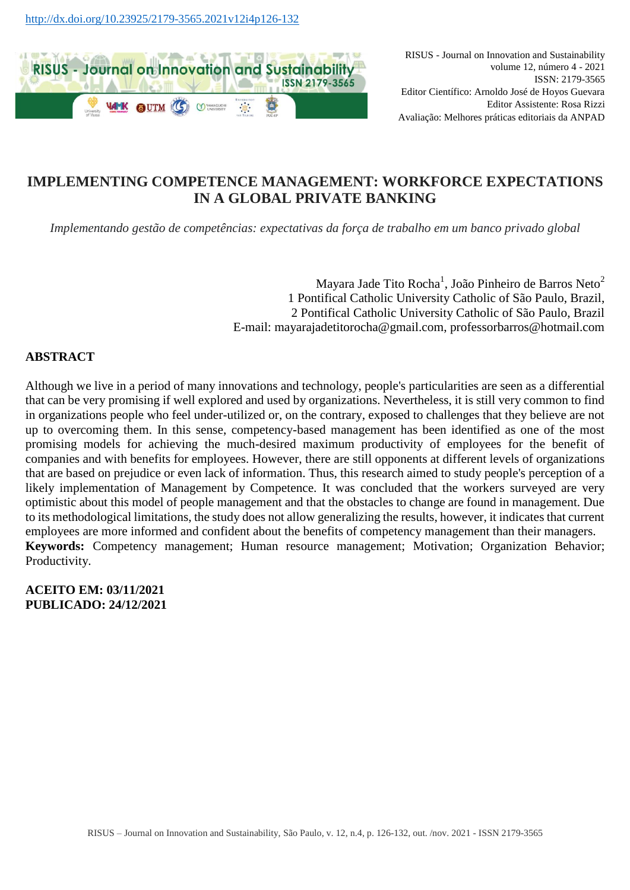

# **IMPLEMENTING COMPETENCE MANAGEMENT: WORKFORCE EXPECTATIONS IN A GLOBAL PRIVATE BANKING**

*Implementando gestão de competências: expectativas da força de trabalho em um banco privado global*

Mayara Jade Tito Rocha<sup>1</sup>, João Pinheiro de Barros Neto<sup>2</sup> 1 Pontifical Catholic University Catholic of São Paulo, Brazil, 2 Pontifical Catholic University Catholic of São Paulo, Brazil E-mail: mayarajadetitorocha@gmail.com, professorbarros@hotmail.com

### **ABSTRACT**

Although we live in a period of many innovations and technology, people's particularities are seen as a differential that can be very promising if well explored and used by organizations. Nevertheless, it is still very common to find in organizations people who feel under-utilized or, on the contrary, exposed to challenges that they believe are not up to overcoming them. In this sense, competency-based management has been identified as one of the most promising models for achieving the much-desired maximum productivity of employees for the benefit of companies and with benefits for employees. However, there are still opponents at different levels of organizations that are based on prejudice or even lack of information. Thus, this research aimed to study people's perception of a likely implementation of Management by Competence. It was concluded that the workers surveyed are very optimistic about this model of people management and that the obstacles to change are found in management. Due to its methodological limitations, the study does not allow generalizing the results, however, it indicates that current employees are more informed and confident about the benefits of competency management than their managers. **Keywords:** Competency management; Human resource management; Motivation; Organization Behavior; Productivity.

**ACEITO EM: 03/11/2021 PUBLICADO: 24/12/2021**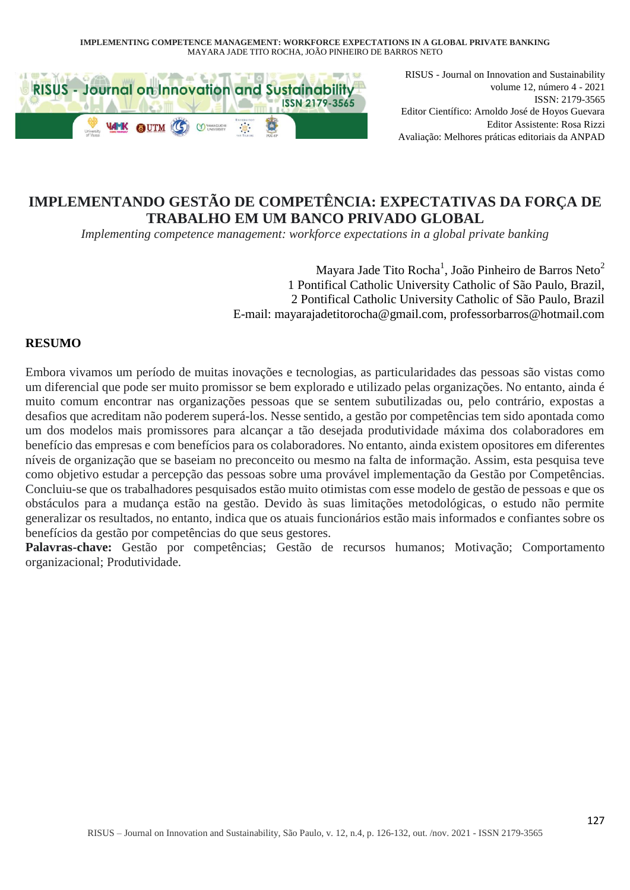

RISUS - Journal on Innovation and Sustainability volume 12, número 4 - 2021 ISSN: 2179-3565 Editor Científico: Arnoldo José de Hoyos Guevara Editor Assistente: Rosa Rizzi Avaliação: Melhores práticas editoriais da ANPAD

# **IMPLEMENTANDO GESTÃO DE COMPETÊNCIA: EXPECTATIVAS DA FORÇA DE TRABALHO EM UM BANCO PRIVADO GLOBAL**

*Implementing competence management: workforce expectations in a global private banking*

Mayara Jade Tito Rocha<sup>1</sup>, João Pinheiro de Barros Neto<sup>2</sup> 1 Pontifical Catholic University Catholic of São Paulo, Brazil, 2 Pontifical Catholic University Catholic of São Paulo, Brazil E-mail: mayarajadetitorocha@gmail.com, professorbarros@hotmail.com

## **RESUMO**

Embora vivamos um período de muitas inovações e tecnologias, as particularidades das pessoas são vistas como um diferencial que pode ser muito promissor se bem explorado e utilizado pelas organizações. No entanto, ainda é muito comum encontrar nas organizações pessoas que se sentem subutilizadas ou, pelo contrário, expostas a desafios que acreditam não poderem superá-los. Nesse sentido, a gestão por competências tem sido apontada como um dos modelos mais promissores para alcançar a tão desejada produtividade máxima dos colaboradores em benefício das empresas e com benefícios para os colaboradores. No entanto, ainda existem opositores em diferentes níveis de organização que se baseiam no preconceito ou mesmo na falta de informação. Assim, esta pesquisa teve como objetivo estudar a percepção das pessoas sobre uma provável implementação da Gestão por Competências. Concluiu-se que os trabalhadores pesquisados estão muito otimistas com esse modelo de gestão de pessoas e que os obstáculos para a mudança estão na gestão. Devido às suas limitações metodológicas, o estudo não permite generalizar os resultados, no entanto, indica que os atuais funcionários estão mais informados e confiantes sobre os benefícios da gestão por competências do que seus gestores.

Palavras-chave: Gestão por competências; Gestão de recursos humanos; Motivação; Comportamento organizacional; Produtividade.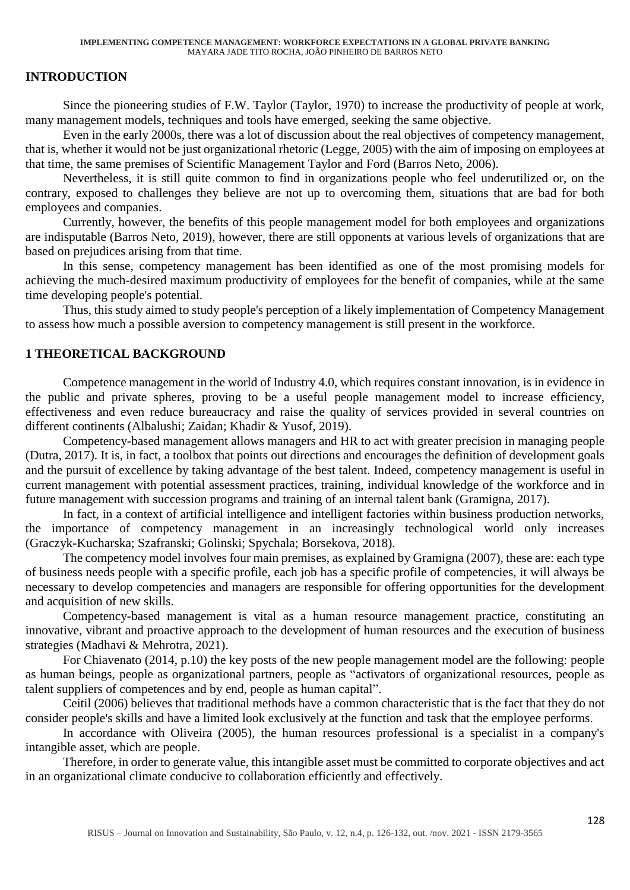## **INTRODUCTION**

Since the pioneering studies of F.W. Taylor (Taylor, 1970) to increase the productivity of people at work, many management models, techniques and tools have emerged, seeking the same objective.

Even in the early 2000s, there was a lot of discussion about the real objectives of competency management, that is, whether it would not be just organizational rhetoric (Legge, 2005) with the aim of imposing on employees at that time, the same premises of Scientific Management Taylor and Ford (Barros Neto, 2006).

Nevertheless, it is still quite common to find in organizations people who feel underutilized or, on the contrary, exposed to challenges they believe are not up to overcoming them, situations that are bad for both employees and companies.

Currently, however, the benefits of this people management model for both employees and organizations are indisputable (Barros Neto, 2019), however, there are still opponents at various levels of organizations that are based on prejudices arising from that time.

In this sense, competency management has been identified as one of the most promising models for achieving the much-desired maximum productivity of employees for the benefit of companies, while at the same time developing people's potential.

Thus, this study aimed to study people's perception of a likely implementation of Competency Management to assess how much a possible aversion to competency management is still present in the workforce.

### **1 THEORETICAL BACKGROUND**

Competence management in the world of Industry 4.0, which requires constant innovation, is in evidence in the public and private spheres, proving to be a useful people management model to increase efficiency, effectiveness and even reduce bureaucracy and raise the quality of services provided in several countries on different continents (Albalushi; Zaidan; Khadir & Yusof, 2019).

Competency-based management allows managers and HR to act with greater precision in managing people (Dutra, 2017). It is, in fact, a toolbox that points out directions and encourages the definition of development goals and the pursuit of excellence by taking advantage of the best talent. Indeed, competency management is useful in current management with potential assessment practices, training, individual knowledge of the workforce and in future management with succession programs and training of an internal talent bank (Gramigna, 2017).

In fact, in a context of artificial intelligence and intelligent factories within business production networks, the importance of competency management in an increasingly technological world only increases (Graczyk-Kucharska; Szafranski; Golinski; Spychala; Borsekova, 2018).

The competency model involves four main premises, as explained by Gramigna (2007), these are: each type of business needs people with a specific profile, each job has a specific profile of competencies, it will always be necessary to develop competencies and managers are responsible for offering opportunities for the development and acquisition of new skills.

Competency-based management is vital as a human resource management practice, constituting an innovative, vibrant and proactive approach to the development of human resources and the execution of business strategies (Madhavi & Mehrotra, 2021).

For Chiavenato (2014, p.10) the key posts of the new people management model are the following: people as human beings, people as organizational partners, people as "activators of organizational resources, people as talent suppliers of competences and by end, people as human capital".

Ceitil (2006) believes that traditional methods have a common characteristic that is the fact that they do not consider people's skills and have a limited look exclusively at the function and task that the employee performs.

In accordance with Oliveira (2005), the human resources professional is a specialist in a company's intangible asset, which are people.

Therefore, in order to generate value, this intangible asset must be committed to corporate objectives and act in an organizational climate conducive to collaboration efficiently and effectively.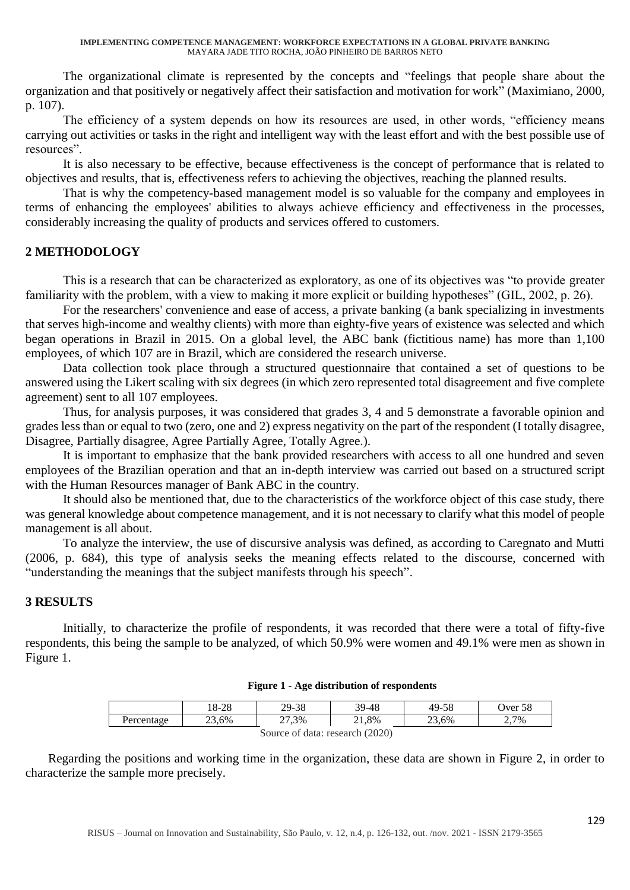The organizational climate is represented by the concepts and "feelings that people share about the organization and that positively or negatively affect their satisfaction and motivation for work" (Maximiano, 2000, p. 107).

The efficiency of a system depends on how its resources are used, in other words, "efficiency means carrying out activities or tasks in the right and intelligent way with the least effort and with the best possible use of resources".

It is also necessary to be effective, because effectiveness is the concept of performance that is related to objectives and results, that is, effectiveness refers to achieving the objectives, reaching the planned results.

That is why the competency-based management model is so valuable for the company and employees in terms of enhancing the employees' abilities to always achieve efficiency and effectiveness in the processes, considerably increasing the quality of products and services offered to customers.

# **2 METHODOLOGY**

This is a research that can be characterized as exploratory, as one of its objectives was "to provide greater familiarity with the problem, with a view to making it more explicit or building hypotheses" (GIL, 2002, p. 26).

For the researchers' convenience and ease of access, a private banking (a bank specializing in investments that serves high-income and wealthy clients) with more than eighty-five years of existence was selected and which began operations in Brazil in 2015. On a global level, the ABC bank (fictitious name) has more than 1,100 employees, of which 107 are in Brazil, which are considered the research universe.

Data collection took place through a structured questionnaire that contained a set of questions to be answered using the Likert scaling with six degrees (in which zero represented total disagreement and five complete agreement) sent to all 107 employees.

Thus, for analysis purposes, it was considered that grades 3, 4 and 5 demonstrate a favorable opinion and grades less than or equal to two (zero, one and 2) express negativity on the part of the respondent (I totally disagree, Disagree, Partially disagree, Agree Partially Agree, Totally Agree.).

It is important to emphasize that the bank provided researchers with access to all one hundred and seven employees of the Brazilian operation and that an in-depth interview was carried out based on a structured script with the Human Resources manager of Bank ABC in the country.

It should also be mentioned that, due to the characteristics of the workforce object of this case study, there was general knowledge about competence management, and it is not necessary to clarify what this model of people management is all about.

To analyze the interview, the use of discursive analysis was defined, as according to Caregnato and Mutti (2006, p. 684), this type of analysis seeks the meaning effects related to the discourse, concerned with "understanding the meanings that the subject manifests through his speech".

### **3 RESULTS**

Initially, to characterize the profile of respondents, it was recorded that there were a total of fifty-five respondents, this being the sample to be analyzed, of which 50.9% were women and 49.1% were men as shown in Figure 1.

#### **Figure 1 - Age distribution of respondents**

|                                 | 18-28 | 29-38 | 39-48 | 49-58 | Over 58 |
|---------------------------------|-------|-------|-------|-------|---------|
| Percentage                      | 23,6% | 27,3% | 21,8% | 23,6% | 2,7%    |
| Source of data: research (2020) |       |       |       |       |         |

Regarding the positions and working time in the organization, these data are shown in Figure 2, in order to characterize the sample more precisely.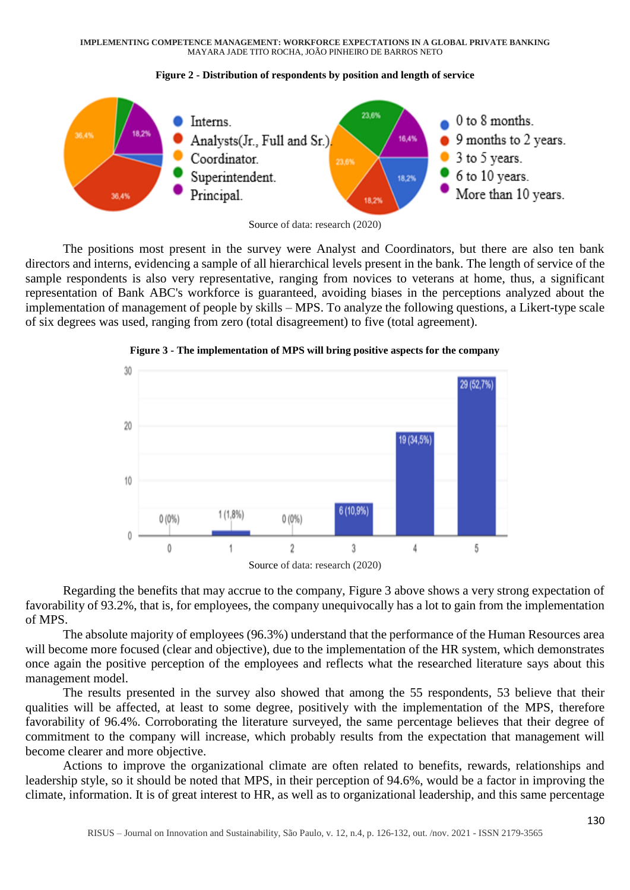**IMPLEMENTING COMPETENCE MANAGEMENT: WORKFORCE EXPECTATIONS IN A GLOBAL PRIVATE BANKING** MAYARA JADE TITO ROCHA, JOÃO PINHEIRO DE BARROS NETO





The positions most present in the survey were Analyst and Coordinators, but there are also ten bank directors and interns, evidencing a sample of all hierarchical levels present in the bank. The length of service of the sample respondents is also very representative, ranging from novices to veterans at home, thus, a significant representation of Bank ABC's workforce is guaranteed, avoiding biases in the perceptions analyzed about the implementation of management of people by skills – MPS. To analyze the following questions, a Likert-type scale of six degrees was used, ranging from zero (total disagreement) to five (total agreement).



**Figure 3 - The implementation of MPS will bring positive aspects for the company**

Regarding the benefits that may accrue to the company, Figure 3 above shows a very strong expectation of favorability of 93.2%, that is, for employees, the company unequivocally has a lot to gain from the implementation of MPS.

The absolute majority of employees (96.3%) understand that the performance of the Human Resources area will become more focused (clear and objective), due to the implementation of the HR system, which demonstrates once again the positive perception of the employees and reflects what the researched literature says about this management model.

The results presented in the survey also showed that among the 55 respondents, 53 believe that their qualities will be affected, at least to some degree, positively with the implementation of the MPS, therefore favorability of 96.4%. Corroborating the literature surveyed, the same percentage believes that their degree of commitment to the company will increase, which probably results from the expectation that management will become clearer and more objective.

Actions to improve the organizational climate are often related to benefits, rewards, relationships and leadership style, so it should be noted that MPS, in their perception of 94.6%, would be a factor in improving the climate, information. It is of great interest to HR, as well as to organizational leadership, and this same percentage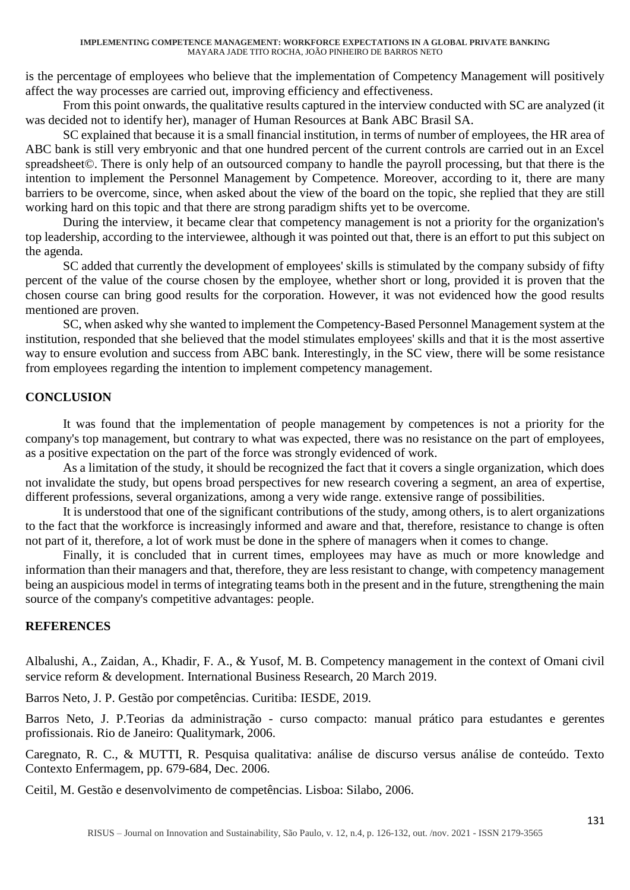is the percentage of employees who believe that the implementation of Competency Management will positively affect the way processes are carried out, improving efficiency and effectiveness.

From this point onwards, the qualitative results captured in the interview conducted with SC are analyzed (it was decided not to identify her), manager of Human Resources at Bank ABC Brasil SA.

SC explained that because it is a small financial institution, in terms of number of employees, the HR area of ABC bank is still very embryonic and that one hundred percent of the current controls are carried out in an Excel spreadsheet©. There is only help of an outsourced company to handle the payroll processing, but that there is the intention to implement the Personnel Management by Competence. Moreover, according to it, there are many barriers to be overcome, since, when asked about the view of the board on the topic, she replied that they are still working hard on this topic and that there are strong paradigm shifts yet to be overcome.

During the interview, it became clear that competency management is not a priority for the organization's top leadership, according to the interviewee, although it was pointed out that, there is an effort to put this subject on the agenda.

SC added that currently the development of employees' skills is stimulated by the company subsidy of fifty percent of the value of the course chosen by the employee, whether short or long, provided it is proven that the chosen course can bring good results for the corporation. However, it was not evidenced how the good results mentioned are proven.

SC, when asked why she wanted to implement the Competency-Based Personnel Management system at the institution, responded that she believed that the model stimulates employees' skills and that it is the most assertive way to ensure evolution and success from ABC bank. Interestingly, in the SC view, there will be some resistance from employees regarding the intention to implement competency management.

# **CONCLUSION**

It was found that the implementation of people management by competences is not a priority for the company's top management, but contrary to what was expected, there was no resistance on the part of employees, as a positive expectation on the part of the force was strongly evidenced of work.

As a limitation of the study, it should be recognized the fact that it covers a single organization, which does not invalidate the study, but opens broad perspectives for new research covering a segment, an area of expertise, different professions, several organizations, among a very wide range. extensive range of possibilities.

It is understood that one of the significant contributions of the study, among others, is to alert organizations to the fact that the workforce is increasingly informed and aware and that, therefore, resistance to change is often not part of it, therefore, a lot of work must be done in the sphere of managers when it comes to change.

Finally, it is concluded that in current times, employees may have as much or more knowledge and information than their managers and that, therefore, they are less resistant to change, with competency management being an auspicious model in terms of integrating teams both in the present and in the future, strengthening the main source of the company's competitive advantages: people.

## **REFERENCES**

Albalushi, A., Zaidan, A., Khadir, F. A., & Yusof, M. B. Competency management in the context of Omani civil service reform & development. International Business Research, 20 March 2019.

Barros Neto, J. P. Gestão por competências. Curitiba: IESDE, 2019.

Barros Neto, J. P.Teorias da administração - curso compacto: manual prático para estudantes e gerentes profissionais. Rio de Janeiro: Qualitymark, 2006.

Caregnato, R. C., & MUTTI, R. Pesquisa qualitativa: análise de discurso versus análise de conteúdo. Texto Contexto Enfermagem, pp. 679-684, Dec. 2006.

Ceitil, M. Gestão e desenvolvimento de competências. Lisboa: Silabo, 2006.